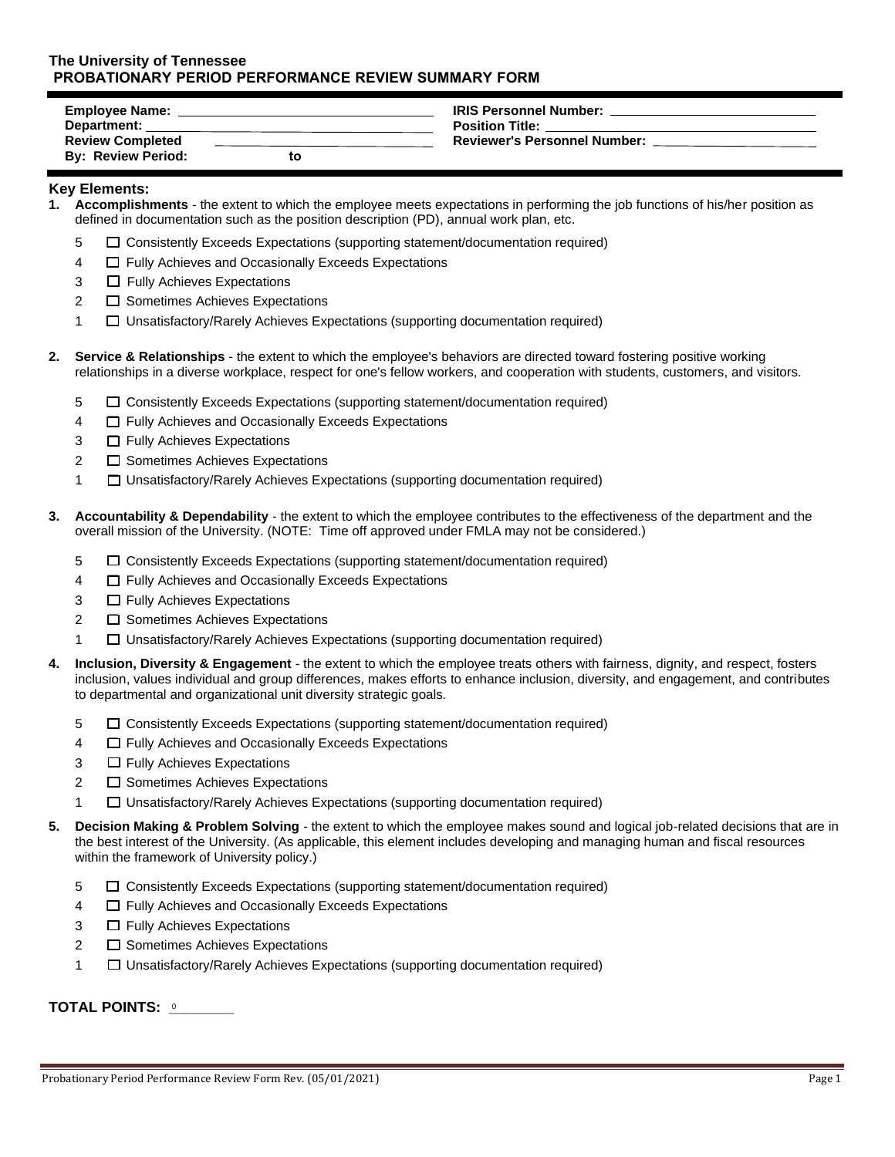## **The University of Tennessee PROBATIONARY PERIOD PERFORMANCE REVIEW SUMMARY FORM**

| <b>Employee Name:</b>     |    | <b>IRIS Personnel Number:</b>       |
|---------------------------|----|-------------------------------------|
| <b>Department:</b>        |    | <b>Position Title:</b>              |
| <b>Review Completed</b>   |    | <b>Reviewer's Personnel Number:</b> |
| <b>By: Review Period:</b> | to |                                     |

## **Key Elements:**

- **1. Accomplishments** the extent to which the employee meets expectations in performing the job functions of his/her position as defined in documentation such as the position description (PD), annual work plan, etc.
	- 5 ☐ Consistently Exceeds Expectations (supporting statement/documentation required)
	- 4 ☐ Fully Achieves and Occasionally Exceeds Expectations
	- 3 □ Fully Achieves Expectations
	- 2 <del>□</del> Sometimes Achieves Expectations
	- 1 ☐ Unsatisfactory/Rarely Achieves Expectations (supporting documentation required)
- **2. Service & Relationships** the extent to which the employee's behaviors are directed toward fostering positive working relationships in a diverse workplace, respect for one's fellow workers, and cooperation with students, customers, and visitors.
	- 5 ☐ Consistently Exceeds Expectations (supporting statement/documentation required)
	- 4 ☐ Fully Achieves and Occasionally Exceeds Expectations
	- 3 □ Fully Achieves Expectations
	- 2 <del>□</del> Sometimes Achieves Expectations
	- 1 ☐ Unsatisfactory/Rarely Achieves Expectations (supporting documentation required)
- **3. Accountability & Dependability** the extent to which the employee contributes to the effectiveness of the department and the overall mission of the University. (NOTE: Time off approved under FMLA may not be considered.)
	- 5 ☐ Consistently Exceeds Expectations (supporting statement/documentation required)
	- 4 ☐ Fully Achieves and Occasionally Exceeds Expectations
	- 3 □ Fully Achieves Expectations
	- 2 <del>□</del> Sometimes Achieves Expectations
	- 1 ☐ Unsatisfactory/Rarely Achieves Expectations (supporting documentation required)
- **4. Inclusion, Diversity & Engagement** the extent to which the employee treats others with fairness, dignity, and respect, fosters inclusion, values individual and group differences, makes efforts to enhance inclusion, diversity, and engagement, and contributes to departmental and organizational unit diversity strategic goals*.*
	- 5 ☐ Consistently Exceeds Expectations (supporting statement/documentation required)
	- 4 ☐ Fully Achieves and Occasionally Exceeds Expectations
	- 3 □ Fully Achieves Expectations
	- 2 <del>□</del> Sometimes Achieves Expectations
	- 1 ☐ Unsatisfactory/Rarely Achieves Expectations (supporting documentation required)
- **5. Decision Making & Problem Solving** the extent to which the employee makes sound and logical job-related decisions that are in the best interest of the University. (As applicable, this element includes developing and managing human and fiscal resources within the framework of University policy.)
	- 5 ☐ Consistently Exceeds Expectations (supporting statement/documentation required)
	- 4 ☐ Fully Achieves and Occasionally Exceeds Expectations
	- 3 □ Fully Achieves Expectations
	- 2 <del>□</del> Sometimes Achieves Expectations
	- 1 ☐ Unsatisfactory/Rarely Achieves Expectations (supporting documentation required)

## **TOTAL POINTS: \_\_\_\_\_\_\_\_**  0